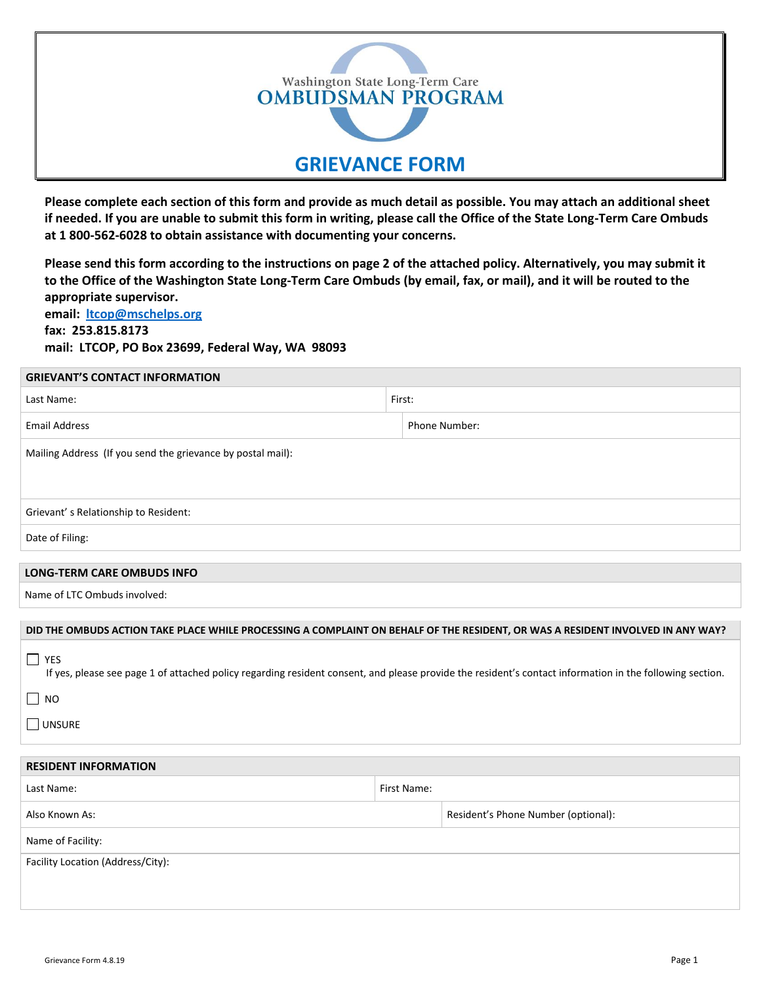

**Please complete each section of this form and provide as much detail as possible. You may attach an additional sheet if needed. If you are unable to submit this form in writing, please call the Office of the State Long-Term Care Ombuds at 1 800-562-6028 to obtain assistance with documenting your concerns.**

**Please send this form according to the instructions on page 2 of the attached policy. Alternatively, you may submit it to the Office of the Washington State Long-Term Care Ombuds (by email, fax, or mail), and it will be routed to the appropriate supervisor.**

**email: ltcop@mschelps.org fax: 253.815.8173 mail: LTCOP, PO Box 23699, Federal Way, WA 98093**

| <b>GRIEVANT'S CONTACT INFORMATION</b> |
|---------------------------------------|
|                                       |

| Last Name:                                                                                                                                                             | First:        |  |  |  |
|------------------------------------------------------------------------------------------------------------------------------------------------------------------------|---------------|--|--|--|
| <b>Email Address</b>                                                                                                                                                   | Phone Number: |  |  |  |
| Mailing Address (If you send the grievance by postal mail):                                                                                                            |               |  |  |  |
|                                                                                                                                                                        |               |  |  |  |
| Grievant's Relationship to Resident:                                                                                                                                   |               |  |  |  |
| Date of Filing:                                                                                                                                                        |               |  |  |  |
|                                                                                                                                                                        |               |  |  |  |
| <b>LONG-TERM CARE OMBUDS INFO</b>                                                                                                                                      |               |  |  |  |
| Name of LTC Ombuds involved:                                                                                                                                           |               |  |  |  |
|                                                                                                                                                                        |               |  |  |  |
| DID THE OMBUDS ACTION TAKE PLACE WHILE PROCESSING A COMPLAINT ON BEHALF OF THE RESIDENT, OR WAS A RESIDENT INVOLVED IN ANY WAY?                                        |               |  |  |  |
| $\Box$ YES<br>If yes, please see page 1 of attached policy regarding resident consent, and please provide the resident's contact information in the following section. |               |  |  |  |
| $\Box$ NO                                                                                                                                                              |               |  |  |  |
| $\Box$ UNSURE                                                                                                                                                          |               |  |  |  |
|                                                                                                                                                                        |               |  |  |  |
| <b>RESIDENT INFORMATION</b>                                                                                                                                            |               |  |  |  |
| Last Name:                                                                                                                                                             | First Name:   |  |  |  |
| $\cdots$                                                                                                                                                               | _ _ _         |  |  |  |

Also Known As: Resident's Phone Number (optional): Name of Facility: Facility Location (Address/City):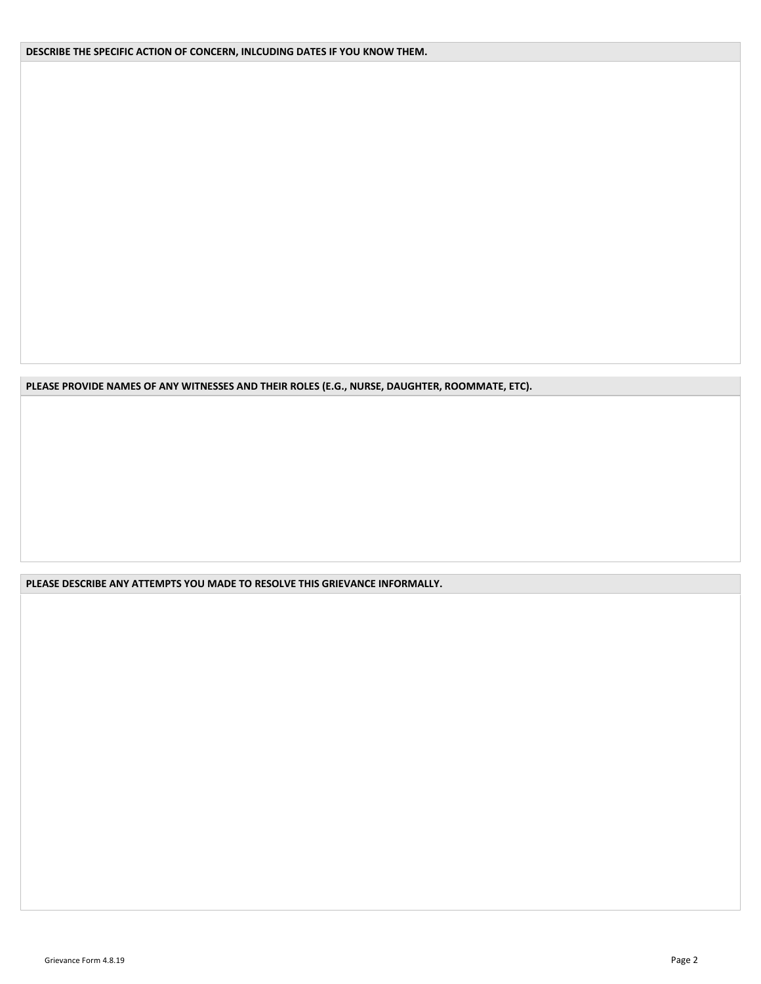**DESCRIBE THE SPECIFIC ACTION OF CONCERN, INLCUDING DATES IF YOU KNOW THEM.** 

**PLEASE PROVIDE NAMES OF ANY WITNESSES AND THEIR ROLES (E.G., NURSE, DAUGHTER, ROOMMATE, ETC).** 

**PLEASE DESCRIBE ANY ATTEMPTS YOU MADE TO RESOLVE THIS GRIEVANCE INFORMALLY.**